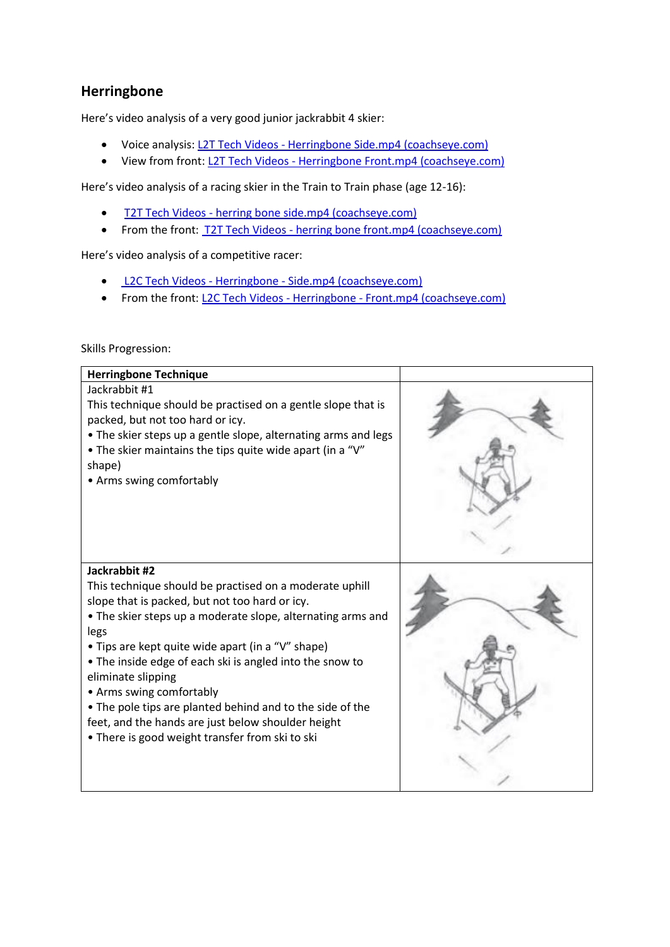## **Herringbone**

Here's video analysis of a very good junior jackrabbit 4 skier:

- Voice analysis: L2T Tech Videos [Herringbone Side.mp4 \(coachseye.com\)](https://www.coachseye.com/t/4e47fd15f1754b3ebdf857f8eb48a4fd)
- View from front: L2T Tech Videos [Herringbone Front.mp4 \(coachseye.com\)](https://www.coachseye.com/t/wDCn)

Here's video analysis of a racing skier in the Train to Train phase (age 12-16):

- T2T Tech Videos [herring bone side.mp4 \(coachseye.com\)](https://www.coachseye.com/t/d4d9c004428c44e682f5fa66123d9410)
- From the front: T2T Tech Videos [herring bone front.mp4 \(coachseye.com\)](https://www.coachseye.com/t/V5u0)

Here's video analysis of a competitive racer:

- L2C Tech Videos Herringbone [Side.mp4 \(coachseye.com\)](https://www.coachseye.com/t/WrDm)
- From the front: L2C Tech Videos Herringbone [Front.mp4 \(coachseye.com\)](https://www.coachseye.com/t/Unjg)

## Skills Progression:

| <b>Herringbone Technique</b>                                                                                                                                                                                                                                                                                                                                                                                                                                                                                                               |  |
|--------------------------------------------------------------------------------------------------------------------------------------------------------------------------------------------------------------------------------------------------------------------------------------------------------------------------------------------------------------------------------------------------------------------------------------------------------------------------------------------------------------------------------------------|--|
| Jackrabbit #1<br>This technique should be practised on a gentle slope that is<br>packed, but not too hard or icy.<br>• The skier steps up a gentle slope, alternating arms and legs<br>• The skier maintains the tips quite wide apart (in a "V"<br>shape)<br>• Arms swing comfortably                                                                                                                                                                                                                                                     |  |
| Jackrabbit #2<br>This technique should be practised on a moderate uphill<br>slope that is packed, but not too hard or icy.<br>• The skier steps up a moderate slope, alternating arms and<br>legs<br>• Tips are kept quite wide apart (in a "V" shape)<br>• The inside edge of each ski is angled into the snow to<br>eliminate slipping<br>• Arms swing comfortably<br>• The pole tips are planted behind and to the side of the<br>feet, and the hands are just below shoulder height<br>• There is good weight transfer from ski to ski |  |